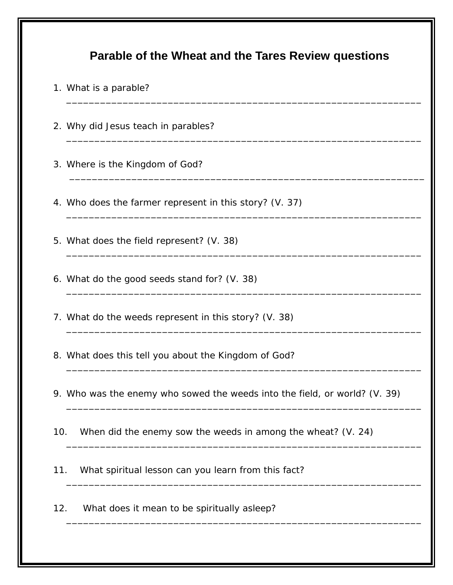|     | 1. What is a parable?                                                      |
|-----|----------------------------------------------------------------------------|
|     | 2. Why did Jesus teach in parables?                                        |
|     | 3. Where is the Kingdom of God?                                            |
|     | 4. Who does the farmer represent in this story? (V. 37)                    |
|     | 5. What does the field represent? (V. 38)                                  |
|     | 6. What do the good seeds stand for? (V. 38)                               |
|     | 7. What do the weeds represent in this story? (V. 38)                      |
|     | 8. What does this tell you about the Kingdom of God?                       |
|     | 9. Who was the enemy who sowed the weeds into the field, or world? (V. 39) |
| 10. | When did the enemy sow the weeds in among the wheat? (V. 24)               |
| 11. | What spiritual lesson can you learn from this fact?                        |
| 12. | What does it mean to be spiritually asleep?                                |